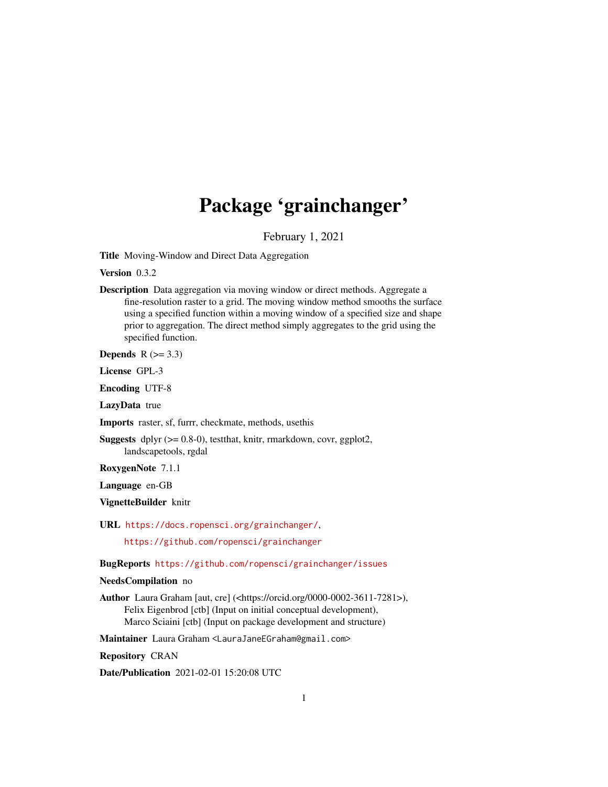## Package 'grainchanger'

February 1, 2021

<span id="page-0-0"></span>Title Moving-Window and Direct Data Aggregation

Version 0.3.2

Description Data aggregation via moving window or direct methods. Aggregate a fine-resolution raster to a grid. The moving window method smooths the surface using a specified function within a moving window of a specified size and shape prior to aggregation. The direct method simply aggregates to the grid using the specified function.

Depends  $R$  ( $>= 3.3$ )

License GPL-3

Encoding UTF-8

LazyData true

Imports raster, sf, furrr, checkmate, methods, usethis

Suggests dplyr (>= 0.8-0), testthat, knitr, rmarkdown, covr, ggplot2, landscapetools, rgdal

RoxygenNote 7.1.1

Language en-GB

VignetteBuilder knitr

URL <https://docs.ropensci.org/grainchanger/>,

<https://github.com/ropensci/grainchanger>

BugReports <https://github.com/ropensci/grainchanger/issues>

#### NeedsCompilation no

Author Laura Graham [aut, cre] (<https://orcid.org/0000-0002-3611-7281>), Felix Eigenbrod [ctb] (Input on initial conceptual development), Marco Sciaini [ctb] (Input on package development and structure)

Maintainer Laura Graham <LauraJaneEGraham@gmail.com>

Repository CRAN

Date/Publication 2021-02-01 15:20:08 UTC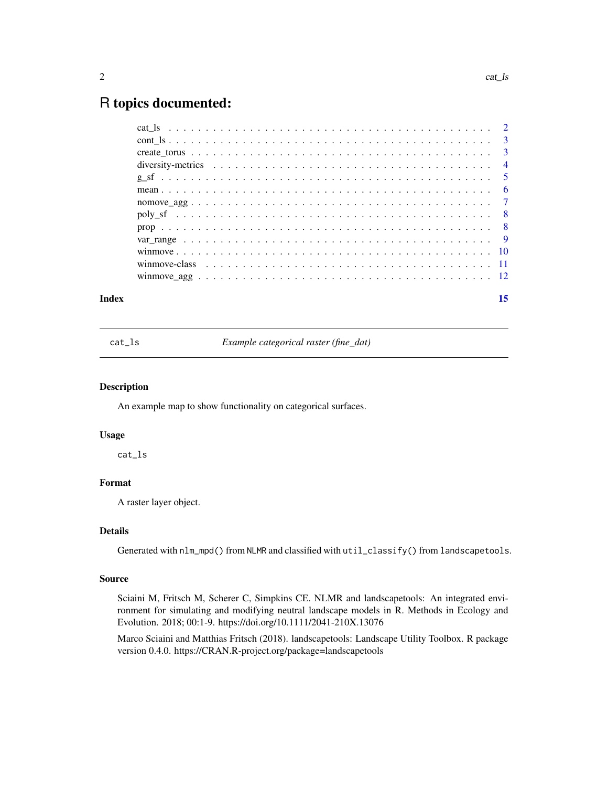## <span id="page-1-0"></span>R topics documented:

#### **Index** [15](#page-14-0)

cat\_ls *Example categorical raster (fine\_dat)*

#### Description

An example map to show functionality on categorical surfaces.

#### Usage

cat\_ls

## Format

A raster layer object.

## Details

Generated with nlm\_mpd() from NLMR and classified with util\_classify() from landscapetools.

#### Source

Sciaini M, Fritsch M, Scherer C, Simpkins CE. NLMR and landscapetools: An integrated environment for simulating and modifying neutral landscape models in R. Methods in Ecology and Evolution. 2018; 00:1-9. https://doi.org/10.1111/2041-210X.13076

Marco Sciaini and Matthias Fritsch (2018). landscapetools: Landscape Utility Toolbox. R package version 0.4.0. https://CRAN.R-project.org/package=landscapetools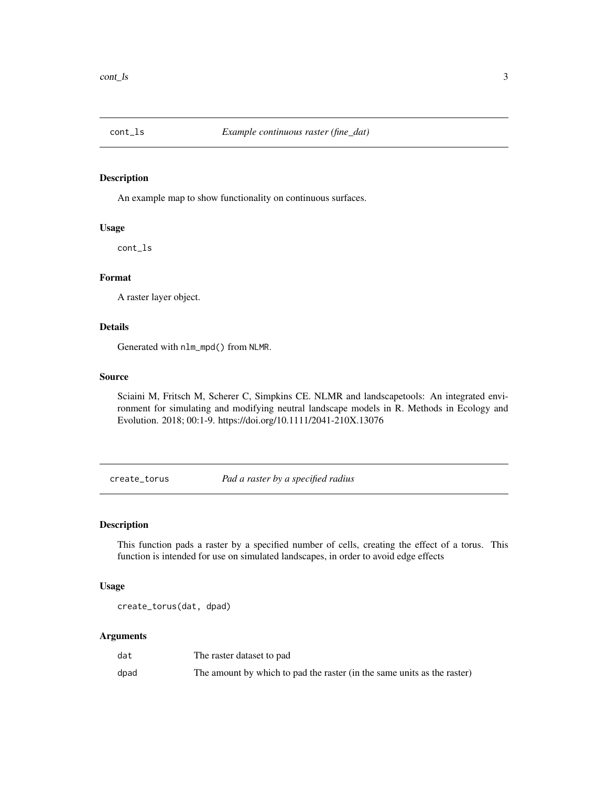<span id="page-2-0"></span>

#### Description

An example map to show functionality on continuous surfaces.

#### Usage

cont\_ls

## Format

A raster layer object.

## Details

Generated with nlm\_mpd() from NLMR.

#### Source

Sciaini M, Fritsch M, Scherer C, Simpkins CE. NLMR and landscapetools: An integrated environment for simulating and modifying neutral landscape models in R. Methods in Ecology and Evolution. 2018; 00:1-9. https://doi.org/10.1111/2041-210X.13076

create\_torus *Pad a raster by a specified radius*

## Description

This function pads a raster by a specified number of cells, creating the effect of a torus. This function is intended for use on simulated landscapes, in order to avoid edge effects

## Usage

create\_torus(dat, dpad)

#### Arguments

| dat  | The raster dataset to pad                                               |
|------|-------------------------------------------------------------------------|
| dpad | The amount by which to pad the raster (in the same units as the raster) |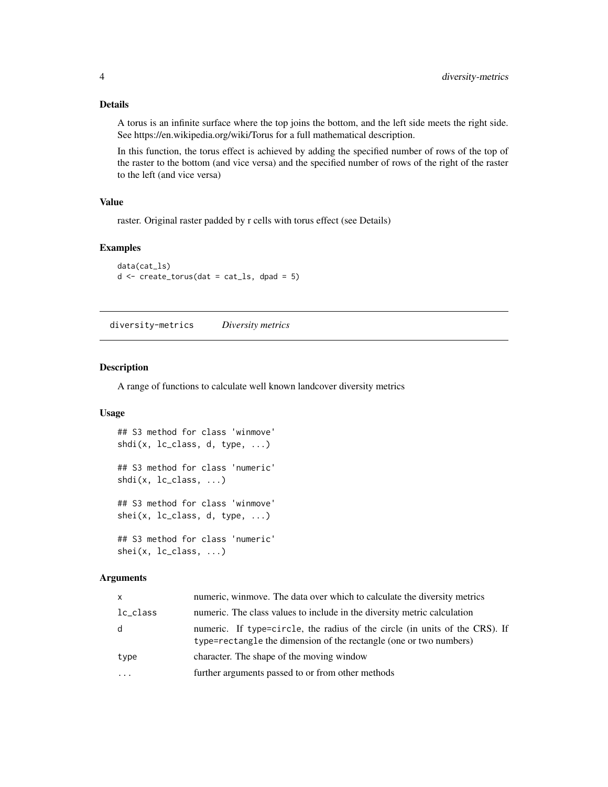## <span id="page-3-0"></span>Details

A torus is an infinite surface where the top joins the bottom, and the left side meets the right side. See https://en.wikipedia.org/wiki/Torus for a full mathematical description.

In this function, the torus effect is achieved by adding the specified number of rows of the top of the raster to the bottom (and vice versa) and the specified number of rows of the right of the raster to the left (and vice versa)

## Value

raster. Original raster padded by r cells with torus effect (see Details)

## Examples

```
data(cat_ls)
d \le create_torus(dat = cat_ls, dpad = 5)
```
diversity-metrics *Diversity metrics*

## Description

A range of functions to calculate well known landcover diversity metrics

## Usage

```
## S3 method for class 'winmove'
shdi(x, lc_class, d, type, ...)
## S3 method for class 'numeric'
shdi(x, lc_class, ...)
## S3 method for class 'winmove'
shei(x, lc_class, d, type, ...)
## S3 method for class 'numeric'
shei(x, lc_class, ...)
```
#### Arguments

| $\mathsf{x}$ | numeric, winmove. The data over which to calculate the diversity metrics                                                                          |
|--------------|---------------------------------------------------------------------------------------------------------------------------------------------------|
| lc_class     | numeric. The class values to include in the diversity metric calculation                                                                          |
| d            | numeric. If type=circle, the radius of the circle (in units of the CRS). If<br>type=rectangle the dimension of the rectangle (one or two numbers) |
| type         | character. The shape of the moving window                                                                                                         |
| $\cdots$     | further arguments passed to or from other methods                                                                                                 |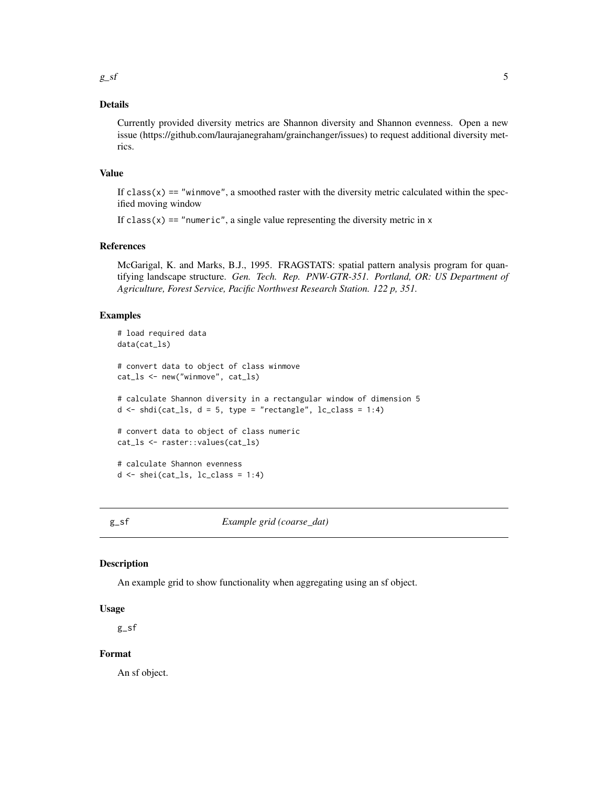## <span id="page-4-0"></span>Details

Currently provided diversity metrics are Shannon diversity and Shannon evenness. Open a new issue (https://github.com/laurajanegraham/grainchanger/issues) to request additional diversity metrics.

#### Value

If  $class(x) == "winmove", a smoothed raster with the diversity metric calculated within the spec$ ified moving window

If class( $x$ ) == "numeric", a single value representing the diversity metric in  $x$ 

#### References

McGarigal, K. and Marks, B.J., 1995. FRAGSTATS: spatial pattern analysis program for quantifying landscape structure. *Gen. Tech. Rep. PNW-GTR-351. Portland, OR: US Department of Agriculture, Forest Service, Pacific Northwest Research Station. 122 p, 351.*

#### Examples

```
# load required data
data(cat_ls)
# convert data to object of class winmove
cat_ls <- new("winmove", cat_ls)
# calculate Shannon diversity in a rectangular window of dimension 5
d \le - \text{shdi}(\text{cat}\_ls, d = 5, \text{ type} = \text{"rectangle", lc}\_class = 1:4)# convert data to object of class numeric
cat_ls <- raster::values(cat_ls)
# calculate Shannon evenness
d \leftarrow \text{shei}(\text{cat}\_ls, \_lc\_class = 1:4)
```
g\_sf *Example grid (coarse\_dat)*

#### **Description**

An example grid to show functionality when aggregating using an sf object.

#### Usage

g\_sf

## Format

An sf object.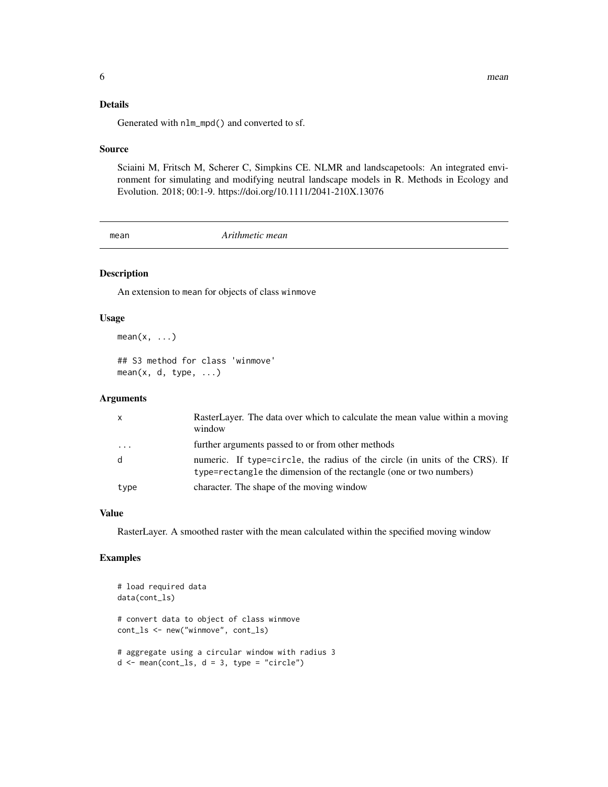<span id="page-5-0"></span>Generated with nlm\_mpd() and converted to sf.

#### Source

Sciaini M, Fritsch M, Scherer C, Simpkins CE. NLMR and landscapetools: An integrated environment for simulating and modifying neutral landscape models in R. Methods in Ecology and Evolution. 2018; 00:1-9. https://doi.org/10.1111/2041-210X.13076

mean *Arithmetic mean*

## Description

An extension to mean for objects of class winmove

## Usage

 $mean(x, \ldots)$ 

## S3 method for class 'winmove'  $mean(x, d, type, ...)$ 

## Arguments

| $\mathsf{x}$ | RasterLayer. The data over which to calculate the mean value within a moving<br>window                                                            |
|--------------|---------------------------------------------------------------------------------------------------------------------------------------------------|
| .            | further arguments passed to or from other methods                                                                                                 |
| d            | numeric. If type=circle, the radius of the circle (in units of the CRS). If<br>type=rectangle the dimension of the rectangle (one or two numbers) |
| type         | character. The shape of the moving window                                                                                                         |

## Value

RasterLayer. A smoothed raster with the mean calculated within the specified moving window

## Examples

```
# load required data
data(cont_ls)
# convert data to object of class winmove
cont_ls <- new("winmove", cont_ls)
# aggregate using a circular window with radius 3
d \le - mean(cont_ls, d = 3, type = "circle")
```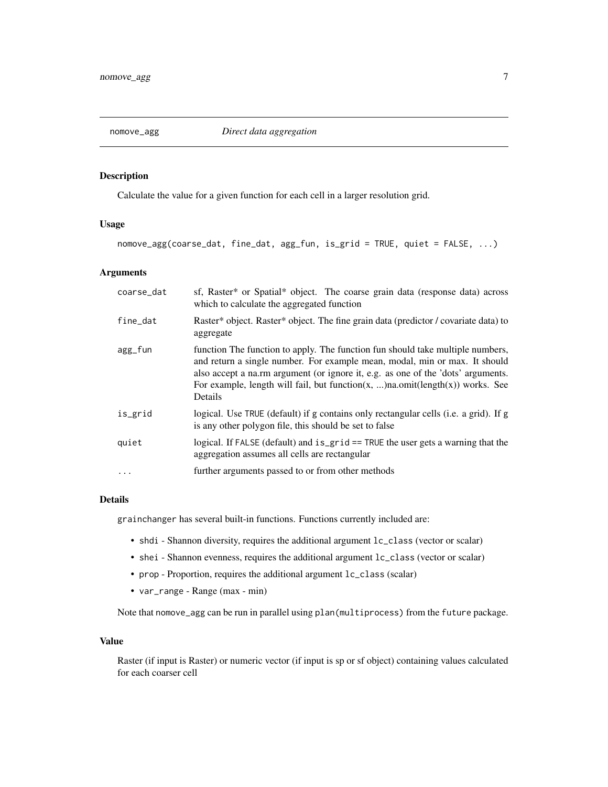<span id="page-6-0"></span>

## Description

Calculate the value for a given function for each cell in a larger resolution grid.

## Usage

nomove\_agg(coarse\_dat, fine\_dat, agg\_fun, is\_grid = TRUE, quiet = FALSE, ...)

## Arguments

| coarse_dat | sf, Raster* or Spatial* object. The coarse grain data (response data) across<br>which to calculate the aggregated function                                                                                                                                                                                                                   |
|------------|----------------------------------------------------------------------------------------------------------------------------------------------------------------------------------------------------------------------------------------------------------------------------------------------------------------------------------------------|
| fine_dat   | Raster* object. Raster* object. The fine grain data (predictor / covariate data) to<br>aggregate                                                                                                                                                                                                                                             |
| agg_fun    | function The function to apply. The function fun should take multiple numbers,<br>and return a single number. For example mean, modal, min or max. It should<br>also accept a na.rm argument (or ignore it, e.g. as one of the 'dots' arguments.<br>For example, length will fail, but function(x, )na.omit(length(x)) works. See<br>Details |
| is_grid    | logical. Use TRUE (default) if g contains only rectangular cells (i.e. a grid). If g<br>is any other polygon file, this should be set to false                                                                                                                                                                                               |
| quiet      | logical. If FALSE (default) and is_grid == TRUE the user gets a warning that the<br>aggregation assumes all cells are rectangular                                                                                                                                                                                                            |
| $\cdots$   | further arguments passed to or from other methods                                                                                                                                                                                                                                                                                            |

## Details

grainchanger has several built-in functions. Functions currently included are:

- shdi Shannon diversity, requires the additional argument lc\_class (vector or scalar)
- shei Shannon evenness, requires the additional argument lc\_class (vector or scalar)
- prop Proportion, requires the additional argument lc\_class (scalar)
- var\_range Range (max min)

Note that nomove\_agg can be run in parallel using plan(multiprocess) from the future package.

#### Value

Raster (if input is Raster) or numeric vector (if input is sp or sf object) containing values calculated for each coarser cell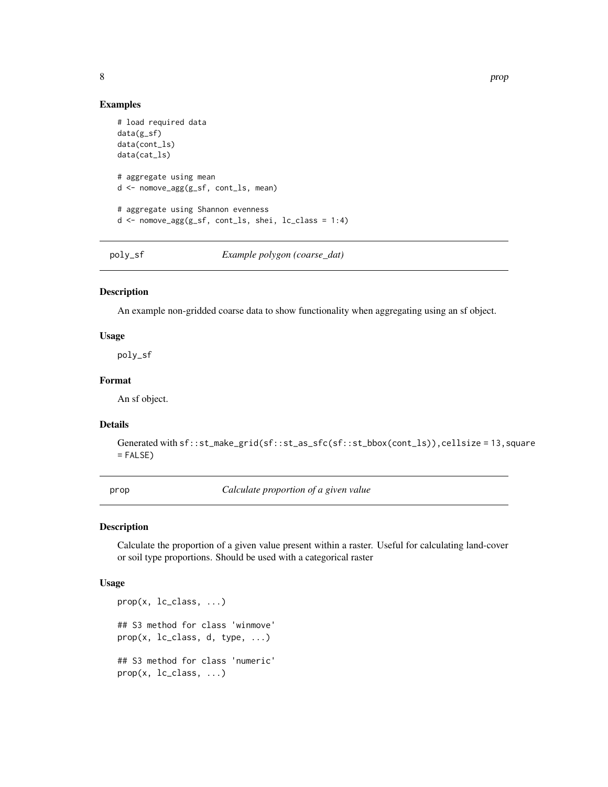#### Examples

```
# load required data
data(g_sf)
data(cont_ls)
data(cat_ls)
# aggregate using mean
d <- nomove_agg(g_sf, cont_ls, mean)
# aggregate using Shannon evenness
d <- nomove_agg(g_sf, cont_ls, shei, lc_class = 1:4)
```
poly\_sf *Example polygon (coarse\_dat)*

#### Description

An example non-gridded coarse data to show functionality when aggregating using an sf object.

#### Usage

poly\_sf

#### Format

An sf object.

#### Details

```
Generated with sf::st\_make\_grid(sf::st\_as\_sfc(sf::st\_bbox(cont\_ls)), cellsize = 13, square
= FALSE)
```
prop *Calculate proportion of a given value*

#### Description

Calculate the proportion of a given value present within a raster. Useful for calculating land-cover or soil type proportions. Should be used with a categorical raster

```
prop(x, lc_class, ...)
## S3 method for class 'winmove'
prop(x, lc_class, d, type, ...)
## S3 method for class 'numeric'
prop(x, lc_class, ...)
```
<span id="page-7-0"></span>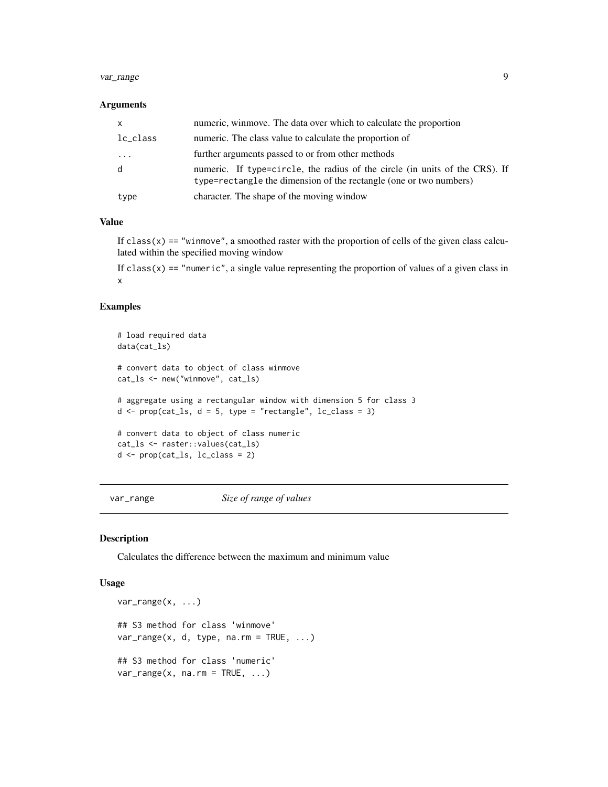#### <span id="page-8-0"></span>var\_range 9

#### **Arguments**

| X        | numeric, winmove. The data over which to calculate the proportion                                                                                 |
|----------|---------------------------------------------------------------------------------------------------------------------------------------------------|
| lc_class | numeric. The class value to calculate the proportion of                                                                                           |
| $\cdot$  | further arguments passed to or from other methods                                                                                                 |
| d        | numeric. If type=circle, the radius of the circle (in units of the CRS). If<br>type=rectangle the dimension of the rectangle (one or two numbers) |
| type     | character. The shape of the moving window                                                                                                         |

#### Value

If  $class(x) == "winnove",$  a smoothed raster with the proportion of cells of the given class calculated within the specified moving window

If  $class(x) == "numeric",$  a single value representing the proportion of values of a given class in x

## Examples

```
# load required data
data(cat_ls)
# convert data to object of class winmove
cat_ls <- new("winmove", cat_ls)
# aggregate using a rectangular window with dimension 5 for class 3
d \leq prop(cat_ls, d = 5, type = "rectangle", lc_class = 3)
# convert data to object of class numeric
cat_ls <- raster::values(cat_ls)
d \leftarrow \text{prop}(\text{cat}\_ls, \_lc\_class = 2)
```
var\_range *Size of range of values*

#### Description

Calculates the difference between the maximum and minimum value

```
var_range(x, ...)
## S3 method for class 'winmove'
var_range(x, d, type, na.rm = TRUE, ...)## S3 method for class 'numeric'
var_range(x, na.rm = TRUE, ...)
```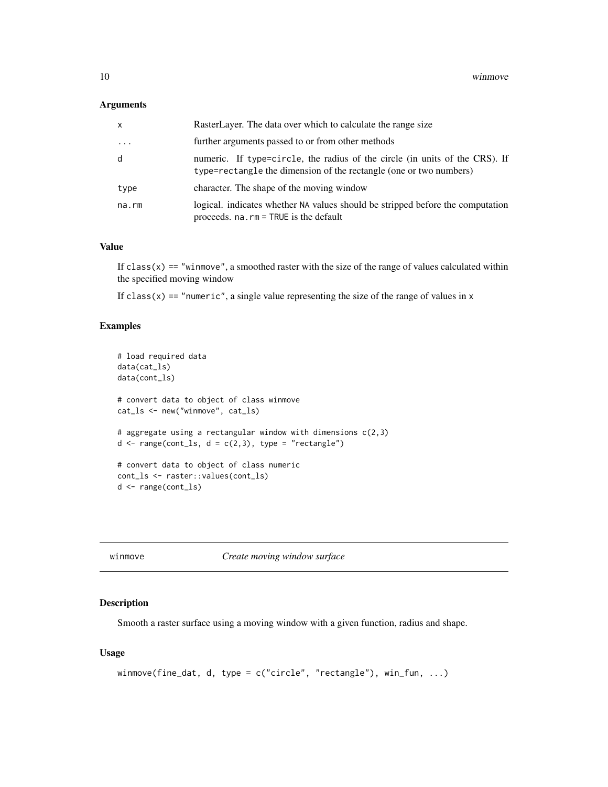#### <span id="page-9-0"></span>Arguments

| $\mathsf{x}$        | RasterLayer. The data over which to calculate the range size                                                                                      |
|---------------------|---------------------------------------------------------------------------------------------------------------------------------------------------|
| $\cdot \cdot \cdot$ | further arguments passed to or from other methods                                                                                                 |
| d                   | numeric. If type=circle, the radius of the circle (in units of the CRS). If<br>type=rectangle the dimension of the rectangle (one or two numbers) |
| type                | character. The shape of the moving window                                                                                                         |
| na.rm               | logical. indicates whether NA values should be stripped before the computation<br>proceeds. $na$ . $rm = TRUE$ is the default                     |

#### Value

If  $\text{class}(x) =$  "winmove", a smoothed raster with the size of the range of values calculated within the specified moving window

If class(x) == "numeric", a single value representing the size of the range of values in  $x$ 

## Examples

```
# load required data
data(cat_ls)
data(cont_ls)
# convert data to object of class winmove
cat_ls <- new("winmove", cat_ls)
# aggregate using a rectangular window with dimensions c(2,3)
d \leq range(cont_ls, d = c(2,3), type = "rectangle")
# convert data to object of class numeric
cont_ls <- raster::values(cont_ls)
d <- range(cont_ls)
```
winmove *Create moving window surface*

#### Description

Smooth a raster surface using a moving window with a given function, radius and shape.

```
winmove(fine_dat, d, type = c("circle", "rectangle"), win_fun, ...)
```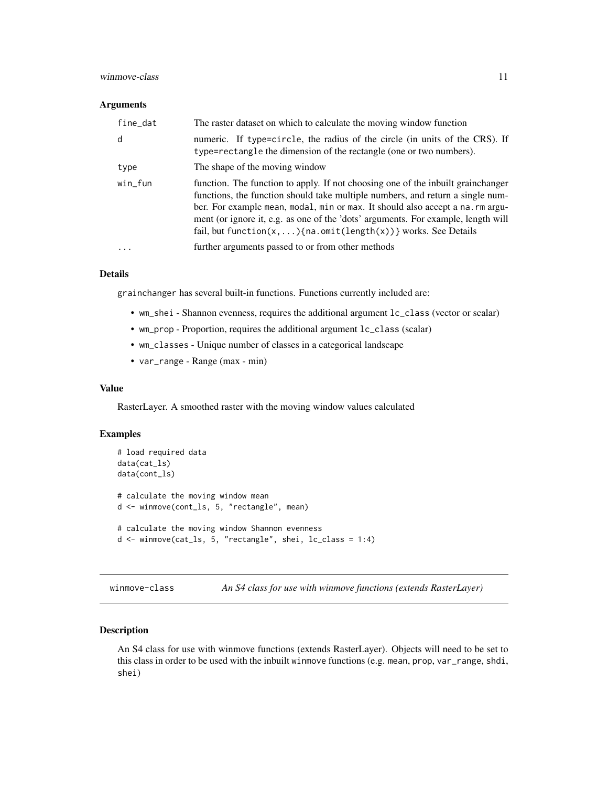#### <span id="page-10-0"></span>winmove-class 11

#### Arguments

| fine_dat  | The raster dataset on which to calculate the moving window function                                                                                                                                                                                                                                                                                                                                                       |
|-----------|---------------------------------------------------------------------------------------------------------------------------------------------------------------------------------------------------------------------------------------------------------------------------------------------------------------------------------------------------------------------------------------------------------------------------|
| d         | numeric. If type=circle, the radius of the circle (in units of the CRS). If<br>type=rectangle the dimension of the rectangle (one or two numbers).                                                                                                                                                                                                                                                                        |
| type      | The shape of the moving window                                                                                                                                                                                                                                                                                                                                                                                            |
| $win_fun$ | function. The function to apply. If not choosing one of the inbuilt grainchanger<br>functions, the function should take multiple numbers, and return a single num-<br>ber. For example mean, modal, min or max. It should also accept a na. rm argu-<br>ment (or ignore it, e.g. as one of the 'dots' arguments. For example, length will<br>fail, but function( $x, \ldots$ ){na.omit(length( $x$ ))} works. See Details |
| .         | further arguments passed to or from other methods                                                                                                                                                                                                                                                                                                                                                                         |

## Details

grainchanger has several built-in functions. Functions currently included are:

- wm\_shei Shannon evenness, requires the additional argument lc\_class (vector or scalar)
- wm\_prop Proportion, requires the additional argument lc\_class (scalar)
- wm\_classes Unique number of classes in a categorical landscape
- var\_range Range (max min)

#### Value

RasterLayer. A smoothed raster with the moving window values calculated

#### Examples

```
# load required data
data(cat_ls)
data(cont_ls)
# calculate the moving window mean
d <- winmove(cont_ls, 5, "rectangle", mean)
# calculate the moving window Shannon evenness
d <- winmove(cat_ls, 5, "rectangle", shei, lc_class = 1:4)
```
winmove-class *An S4 class for use with winmove functions (extends RasterLayer)*

## Description

An S4 class for use with winmove functions (extends RasterLayer). Objects will need to be set to this class in order to be used with the inbuilt winmove functions (e.g. mean, prop, var\_range, shdi, shei)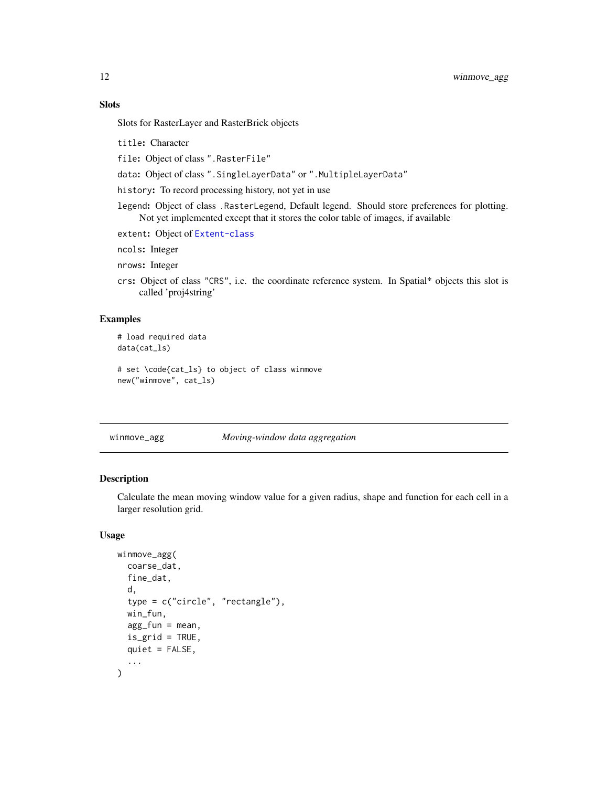## <span id="page-11-0"></span>Slots

Slots for RasterLayer and RasterBrick objects

title: Character

file: Object of class ".RasterFile"

data: Object of class ".SingleLayerData" or ".MultipleLayerData"

history: To record processing history, not yet in use

legend: Object of class .RasterLegend, Default legend. Should store preferences for plotting. Not yet implemented except that it stores the color table of images, if available

extent: Object of [Extent-class](#page-0-0)

ncols: Integer

nrows: Integer

crs: Object of class "CRS", i.e. the coordinate reference system. In Spatial\* objects this slot is called 'proj4string'

#### Examples

```
# load required data
data(cat_ls)
# set \code{cat_ls} to object of class winmove
new("winmove", cat_ls)
```
winmove\_agg *Moving-window data aggregation*

#### Description

Calculate the mean moving window value for a given radius, shape and function for each cell in a larger resolution grid.

```
winmove_agg(
  coarse_dat,
  fine_dat,
  d,
  type = c("circle", "rectangle"),
  win_fun,
  agg_fun = mean,
  is_grid = TRUE,
  quiet = FALSE,
  ...
)
```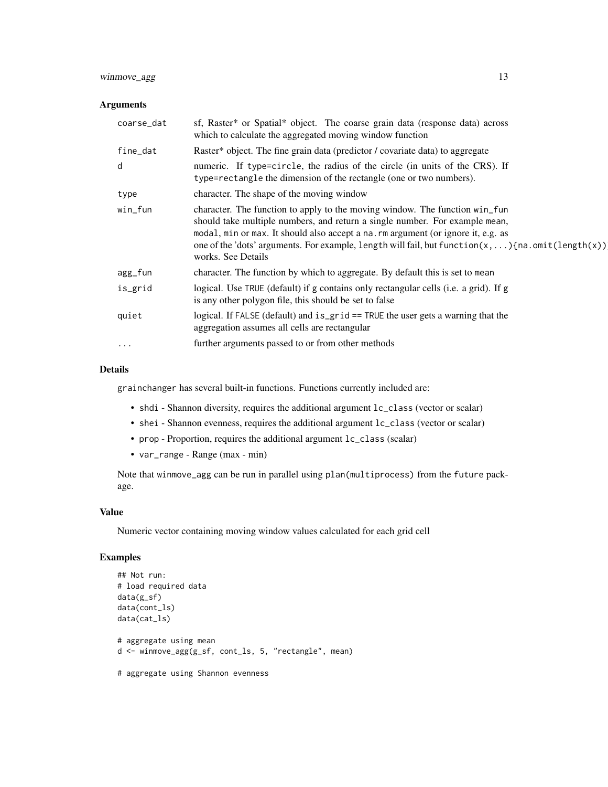## winmove\_agg 13

#### Arguments

| coarse_dat | sf, Raster* or Spatial* object. The coarse grain data (response data) across<br>which to calculate the aggregated moving window function                                                                                                                                                                                                                                     |
|------------|------------------------------------------------------------------------------------------------------------------------------------------------------------------------------------------------------------------------------------------------------------------------------------------------------------------------------------------------------------------------------|
| fine_dat   | Raster* object. The fine grain data (predictor / covariate data) to aggregate                                                                                                                                                                                                                                                                                                |
| d          | numeric. If type=circle, the radius of the circle (in units of the CRS). If<br>type=rectangle the dimension of the rectangle (one or two numbers).                                                                                                                                                                                                                           |
| type       | character. The shape of the moving window                                                                                                                                                                                                                                                                                                                                    |
| win_fun    | character. The function to apply to the moving window. The function win_fun<br>should take multiple numbers, and return a single number. For example mean,<br>modal, min or max. It should also accept a na. rm argument (or ignore it, e.g. as<br>one of the 'dots' arguments. For example, length will fail, but function(x,  ) {na.omit(length(x))}<br>works. See Details |
| agg_fun    | character. The function by which to aggregate. By default this is set to mean                                                                                                                                                                                                                                                                                                |
| is_grid    | logical. Use TRUE (default) if g contains only rectangular cells (i.e. a grid). If g<br>is any other polygon file, this should be set to false                                                                                                                                                                                                                               |
| quiet      | logical. If FALSE (default) and is_grid == TRUE the user gets a warning that the<br>aggregation assumes all cells are rectangular                                                                                                                                                                                                                                            |
| $\cdots$   | further arguments passed to or from other methods                                                                                                                                                                                                                                                                                                                            |

#### Details

grainchanger has several built-in functions. Functions currently included are:

- shdi Shannon diversity, requires the additional argument  $lc\_class$  (vector or scalar)
- shei Shannon evenness, requires the additional argument lc\_class (vector or scalar)
- prop Proportion, requires the additional argument lc\_class (scalar)
- var\_range Range (max min)

Note that winmove\_agg can be run in parallel using plan(multiprocess) from the future package.

#### Value

Numeric vector containing moving window values calculated for each grid cell

## Examples

```
## Not run:
# load required data
data(g_sf)
data(cont_ls)
data(cat_ls)
# aggregate using mean
d <- winmove_agg(g_sf, cont_ls, 5, "rectangle", mean)
# aggregate using Shannon evenness
```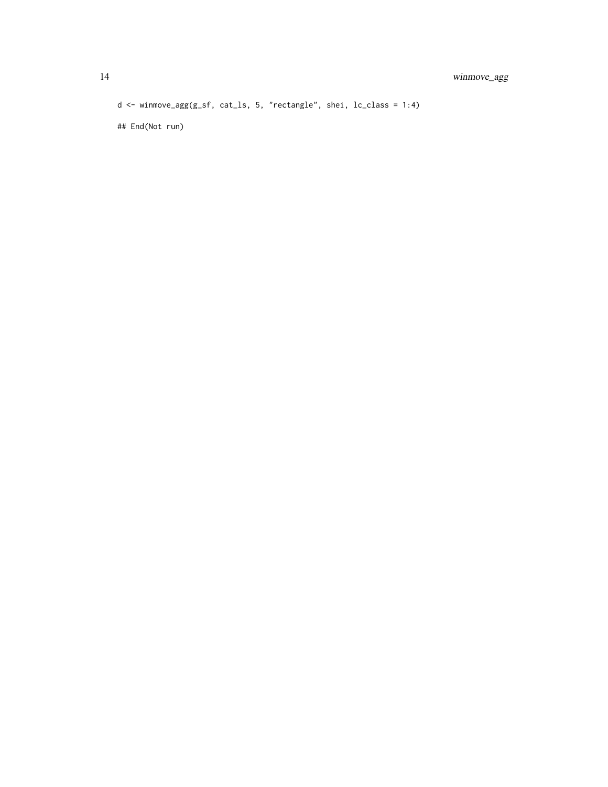d <- winmove\_agg(g\_sf, cat\_ls, 5, "rectangle", shei, lc\_class = 1:4)

## End(Not run)